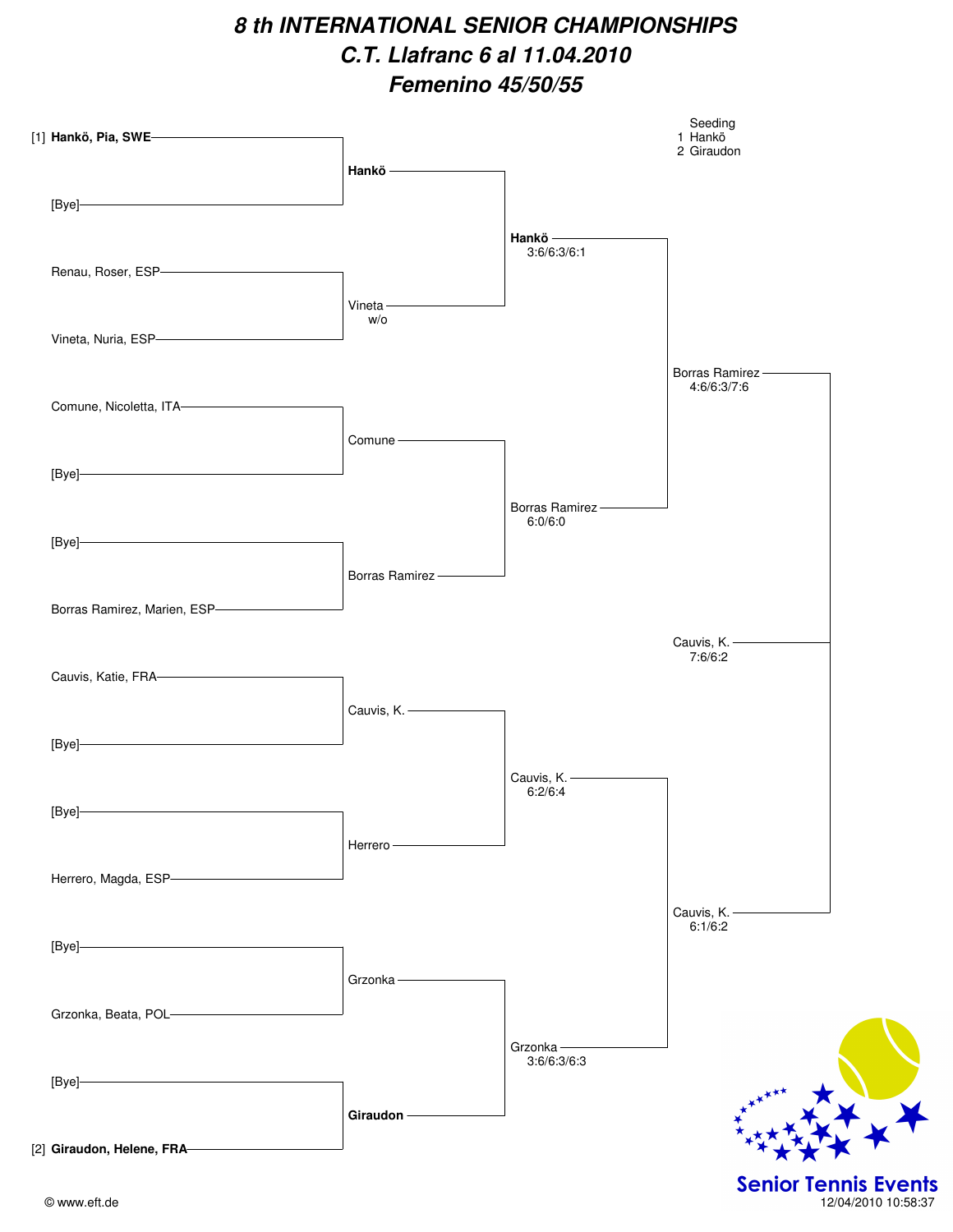# **8 th INTERNATIONAL SENIOR CHAMPIONSHIPS C.T. Llafranc 6 al 11.04.2010 Femenino 45/50/55**

| [1] Hankö, Pia, SWE———————————                                                                                                                                                                                                                                                                                                                                                                                                                | Hankö <b>Container School</b> |                                       | Seeding<br>1 Hankö<br>2 Giraudon |
|-----------------------------------------------------------------------------------------------------------------------------------------------------------------------------------------------------------------------------------------------------------------------------------------------------------------------------------------------------------------------------------------------------------------------------------------------|-------------------------------|---------------------------------------|----------------------------------|
| $[Bye] \qquad \qquad \overbrace{\qquad \qquad }$                                                                                                                                                                                                                                                                                                                                                                                              |                               | Hankö                                 |                                  |
| Renau, Roser, ESP- <b>Construction</b>                                                                                                                                                                                                                                                                                                                                                                                                        |                               | 3:6/6:3/6:1                           |                                  |
| Vineta, Nuria, ESP<br>Management and Separation and Separation and Separation and Separation and Separation and Separation and Separation and Separation and Separation and Separation and Separation and Separation and Separat                                                                                                                                                                                                              | Vineta $-$<br>W/O             |                                       |                                  |
| Comune, Nicoletta, ITA-                                                                                                                                                                                                                                                                                                                                                                                                                       |                               |                                       | Borras Ramirez<br>4:6/6:3/7:6    |
| $[Bye] \qquad \qquad \overbrace{\qquad \qquad }$                                                                                                                                                                                                                                                                                                                                                                                              | Comune - The Comunity         |                                       |                                  |
| $[{\sf Bye}] \qquad \qquad \overbrace{\qquad \qquad }$                                                                                                                                                                                                                                                                                                                                                                                        |                               | Borras Ramirez --<br>6:0/6:0          |                                  |
|                                                                                                                                                                                                                                                                                                                                                                                                                                               | Borras Ramirez-               |                                       |                                  |
| Borras Ramirez, Marien, ESP-                                                                                                                                                                                                                                                                                                                                                                                                                  |                               |                                       | Cauvis, K.                       |
| Cauvis, Katie, FRA                                                                                                                                                                                                                                                                                                                                                                                                                            | Cauvis, K.                    |                                       | 7:6/6:2                          |
| $[Bye] \begin{tabular}{ c c } \hline \multicolumn{3}{ c }{\textbf{[b]}}\\ \hline \multicolumn{3}{ c }{\textbf{[c]}}\\ \hline \multicolumn{3}{ c }{\textbf{[d]}}\\ \hline \multicolumn{3}{ c }{\textbf{[e]}}\\ \hline \multicolumn{3}{ c }{\textbf{[f]}}\\ \hline \multicolumn{3}{ c }{\textbf{[g]}}\\ \hline \multicolumn{3}{ c }{\textbf{[g]}}\\ \hline \multicolumn{3}{ c }{\textbf{[h]}}\\ \hline \multicolumn{3}{ c }{\textbf{[h]}}\\ \h$ |                               |                                       |                                  |
| [Bye]                                                                                                                                                                                                                                                                                                                                                                                                                                         |                               | Cauvis, K. - <b>Cauvis</b><br>6:2/6:4 |                                  |
| Herrero, Magda, ESP- <b>Construction</b>                                                                                                                                                                                                                                                                                                                                                                                                      | Herrero-                      |                                       |                                  |
|                                                                                                                                                                                                                                                                                                                                                                                                                                               |                               |                                       | Cauvis, K.-<br>6:1/6:2           |
| $[{\sf Bye}] \qquad \qquad \overbrace{\hspace{15mm}}$                                                                                                                                                                                                                                                                                                                                                                                         | Grzonka-                      |                                       |                                  |
| Grzonka, Beata, POL-                                                                                                                                                                                                                                                                                                                                                                                                                          |                               | Grzonka-                              |                                  |
| [Bye]                                                                                                                                                                                                                                                                                                                                                                                                                                         | Giraudon-                     | 3:6/6:3/6:3                           |                                  |
| [2] Giraudon, Helene, FRA-                                                                                                                                                                                                                                                                                                                                                                                                                    |                               |                                       |                                  |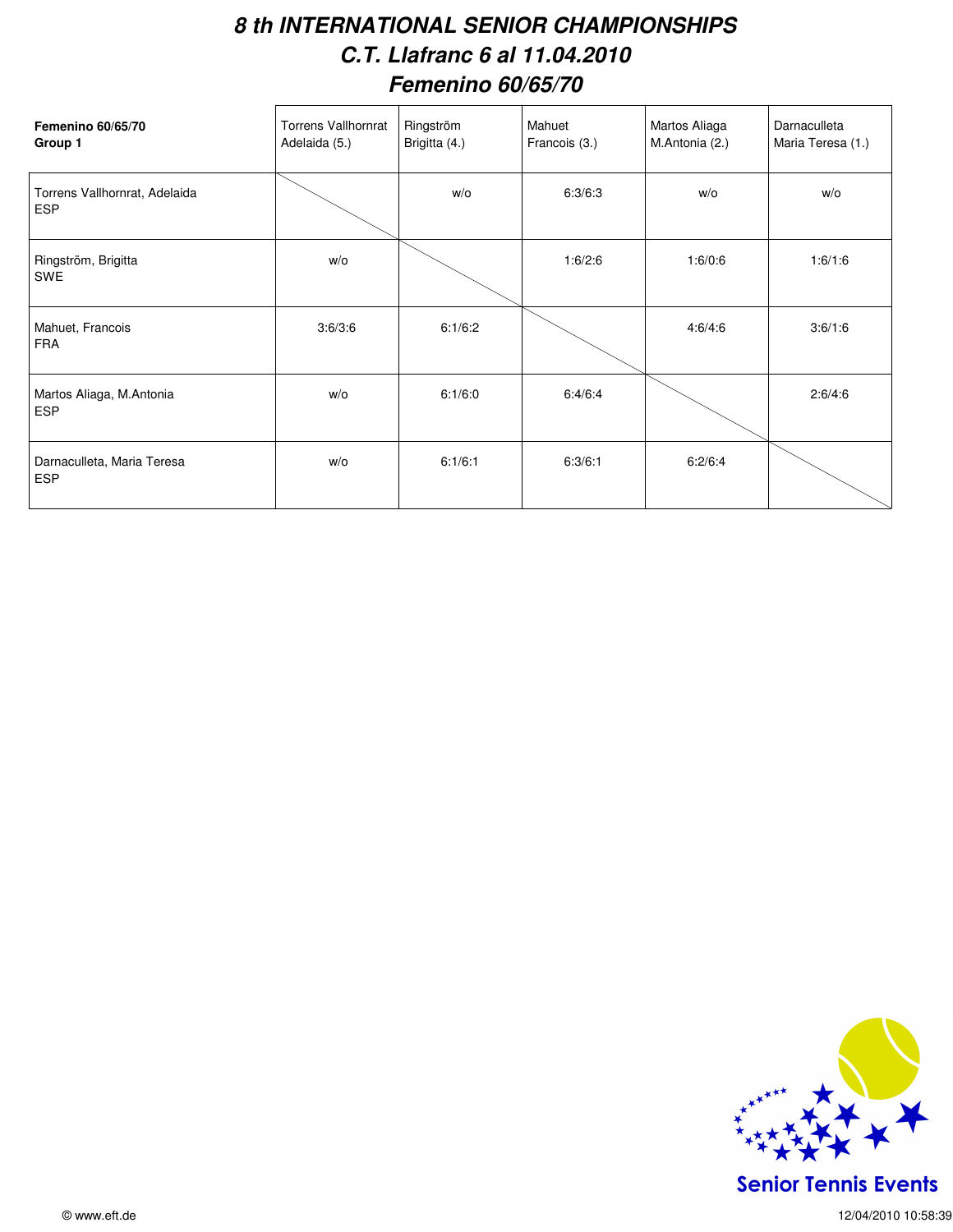#### **8 th INTERNATIONAL SENIOR CHAMPIONSHIPS C.T. Llafranc 6 al 11.04.2010 Femenino 60/65/70**

| <b>Femenino 60/65/70</b><br>Group 1         | <b>Torrens Vallhornrat</b><br>Adelaida (5.) | Ringström<br>Brigitta (4.) | Mahuet<br>Francois (3.) | Martos Aliaga<br>M.Antonia (2.) | Darnaculleta<br>Maria Teresa (1.) |
|---------------------------------------------|---------------------------------------------|----------------------------|-------------------------|---------------------------------|-----------------------------------|
| Torrens Vallhornrat, Adelaida<br><b>ESP</b> |                                             | W/O                        | 6:3/6:3                 | W/O                             | W/O                               |
| Ringström, Brigitta<br><b>SWE</b>           | W/O                                         |                            | 1:6/2:6                 | 1:6/0:6                         | 1:6/1:6                           |
| Mahuet, Francois<br><b>FRA</b>              | 3:6/3:6                                     | 6:1/6:2                    |                         | 4:6/4:6                         | 3:6/1:6                           |
| Martos Aliaga, M.Antonia<br><b>ESP</b>      | w/o                                         | 6:1/6:0                    | 6:4/6:4                 |                                 | 2:6/4:6                           |
| Darnaculleta, Maria Teresa<br><b>ESP</b>    | w/o                                         | 6:1/6:1                    | 6:3/6:1                 | 6:2/6:4                         |                                   |



**Senior Tennis Events**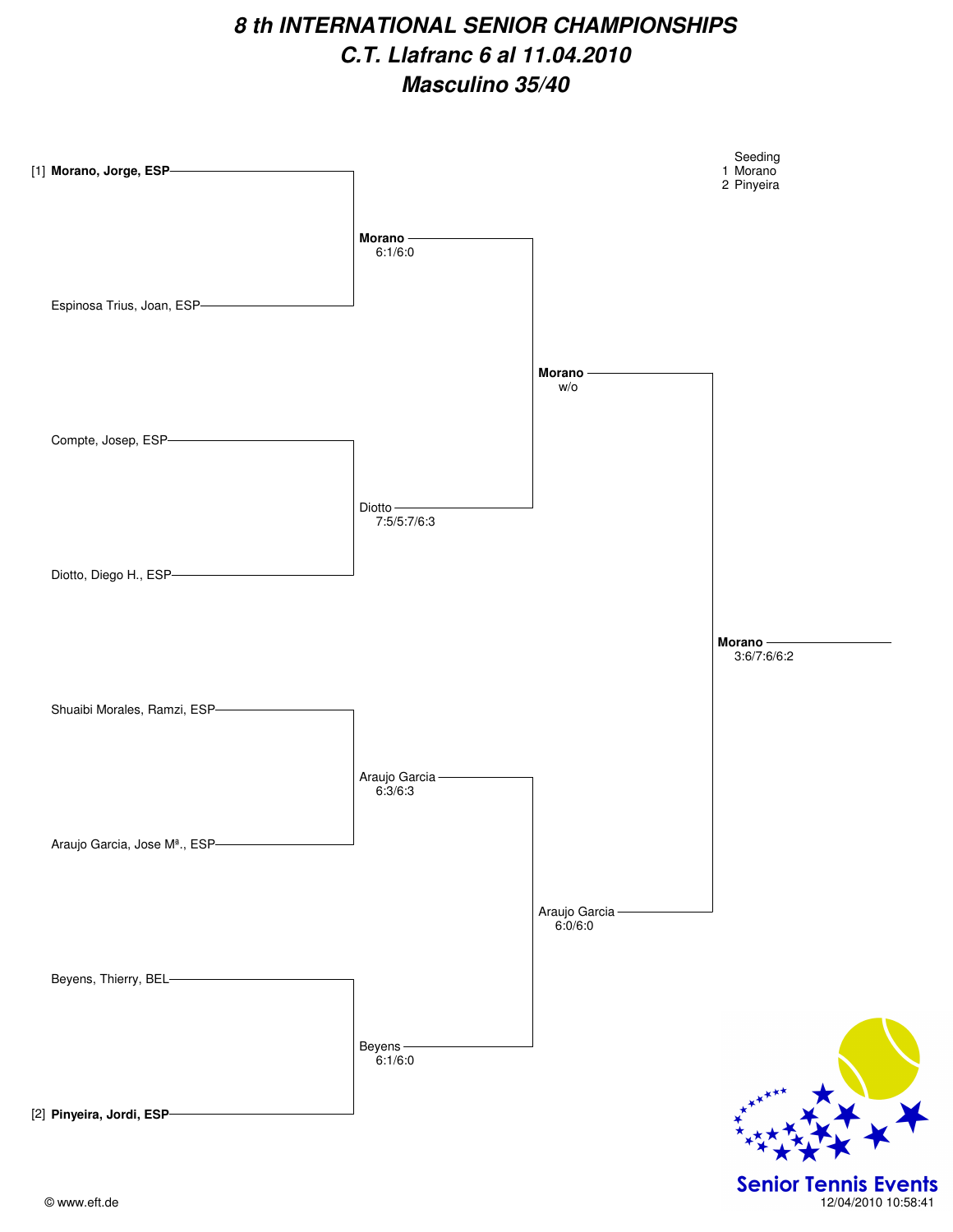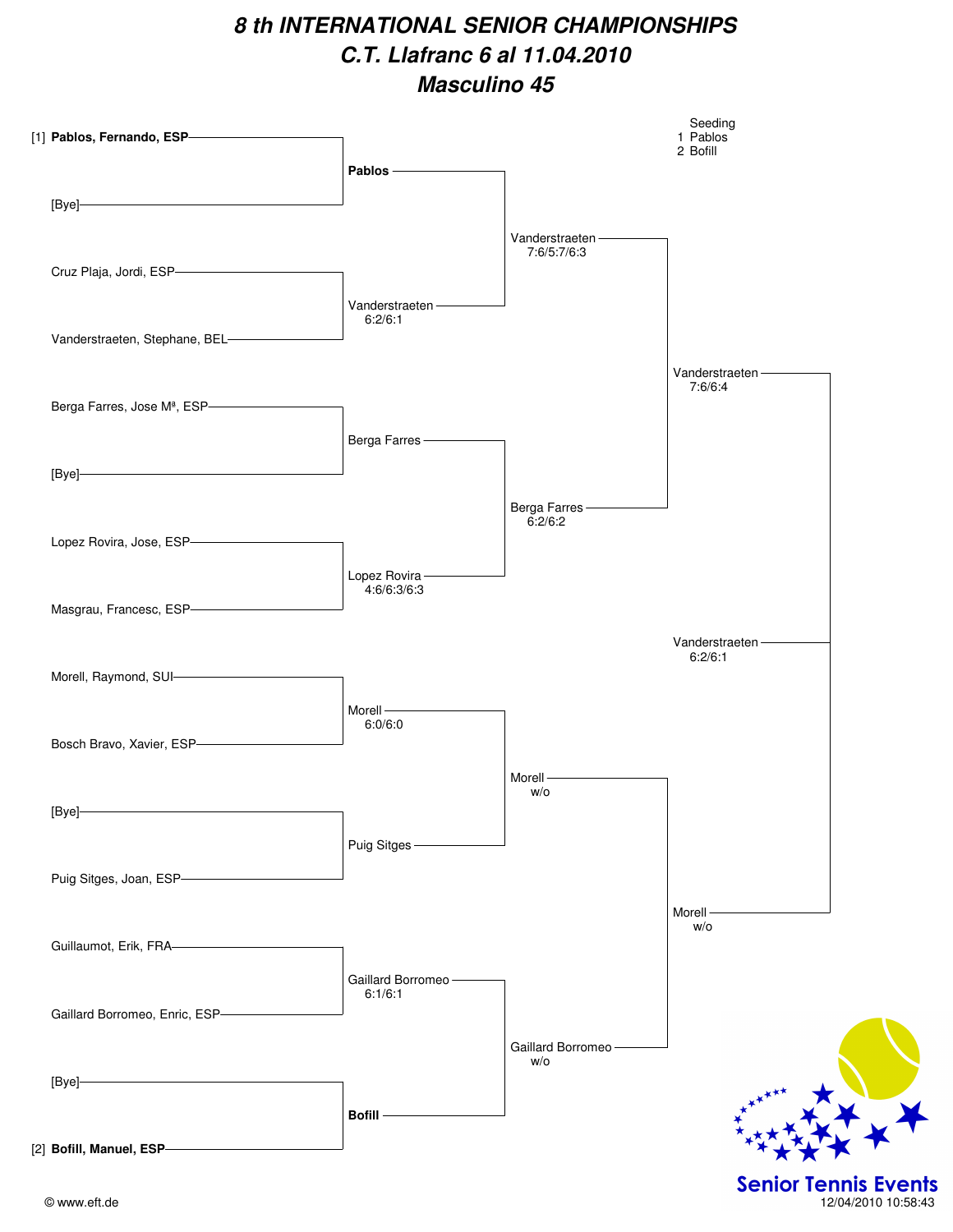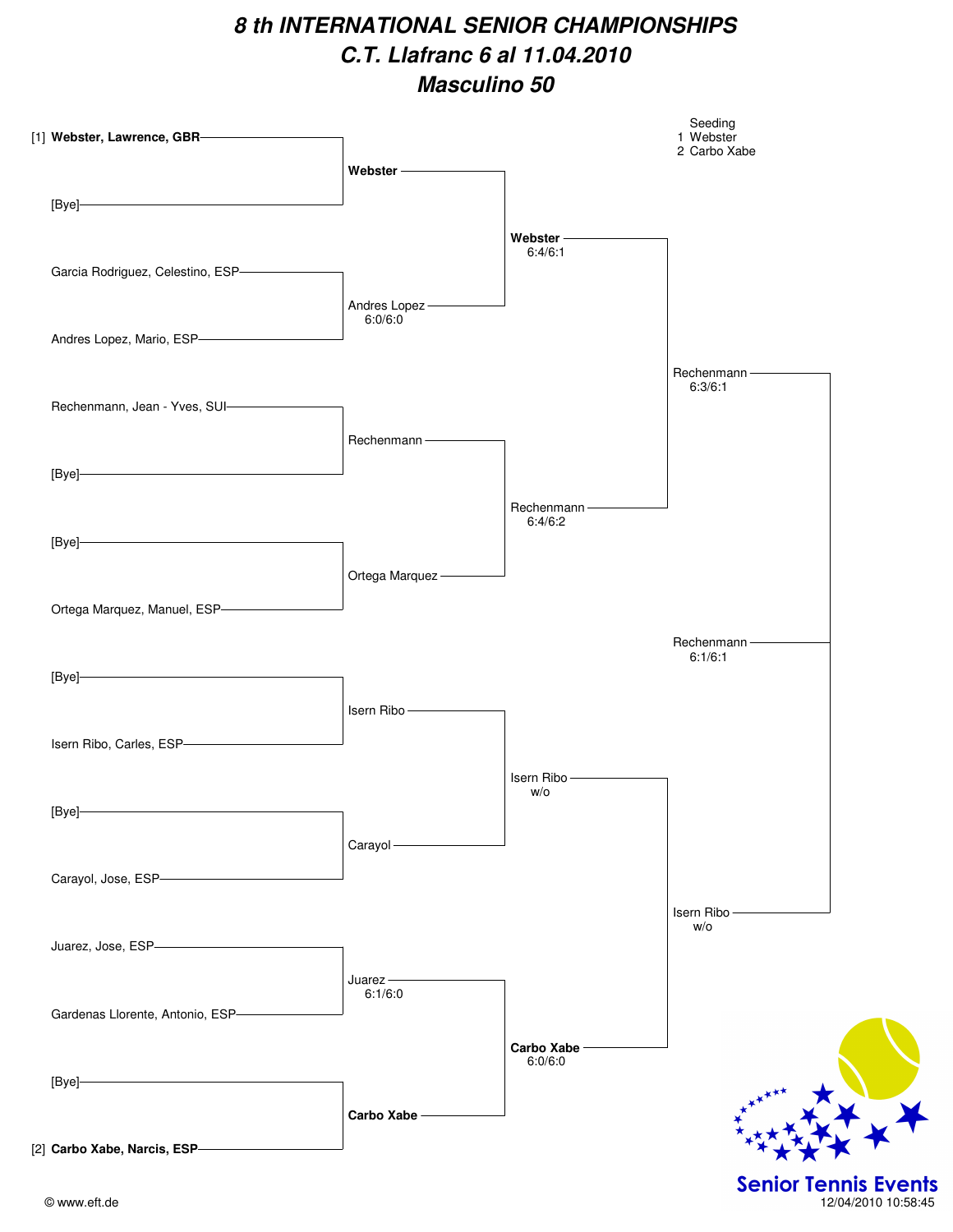| [1] Webster, Lawrence, GBR-                      |                                                                                                                                                                                                                                |                    | Seeding<br>1 Webster<br>2 Carbo Xabe   |
|--------------------------------------------------|--------------------------------------------------------------------------------------------------------------------------------------------------------------------------------------------------------------------------------|--------------------|----------------------------------------|
|                                                  |                                                                                                                                                                                                                                |                    |                                        |
| $[Bye] \qquad \qquad \overbrace{\qquad \qquad }$ |                                                                                                                                                                                                                                |                    |                                        |
|                                                  |                                                                                                                                                                                                                                | Webster ————       |                                        |
|                                                  |                                                                                                                                                                                                                                | 6:4/6:1            |                                        |
| Garcia Rodriguez, Celestino, ESP-                |                                                                                                                                                                                                                                |                    |                                        |
|                                                  | Andres Lopez-                                                                                                                                                                                                                  |                    |                                        |
| Andres Lopez, Mario, ESP-                        | 6:0/6:0                                                                                                                                                                                                                        |                    |                                        |
|                                                  |                                                                                                                                                                                                                                |                    |                                        |
|                                                  |                                                                                                                                                                                                                                |                    | Rechenmann - The Manuscript<br>6:3/6:1 |
| Rechenmann, Jean - Yves, SUI-                    |                                                                                                                                                                                                                                |                    |                                        |
|                                                  | Rechenmann-                                                                                                                                                                                                                    |                    |                                        |
|                                                  |                                                                                                                                                                                                                                |                    |                                        |
| $[Bye] \qquad \qquad \overbrace{\qquad \qquad }$ |                                                                                                                                                                                                                                |                    |                                        |
|                                                  |                                                                                                                                                                                                                                | Rechenmann-        |                                        |
| $[Bye] \qquad \qquad \overbrace{\qquad \qquad }$ |                                                                                                                                                                                                                                | 6:4/6:2            |                                        |
|                                                  |                                                                                                                                                                                                                                |                    |                                        |
|                                                  | Ortega Marquez-                                                                                                                                                                                                                |                    |                                        |
| Ortega Marquez, Manuel, ESP-                     |                                                                                                                                                                                                                                |                    |                                        |
|                                                  |                                                                                                                                                                                                                                |                    | Rechenmann-                            |
|                                                  |                                                                                                                                                                                                                                |                    | 6:1/6:1                                |
| $[Bye] \qquad \qquad \overbrace{\qquad \qquad }$ |                                                                                                                                                                                                                                |                    |                                        |
|                                                  | Isern Ribo - The Management of the Management of the Management of the Management of the Management of the Management of the Management of the Management of the Management of the Management of the Management of the Managem |                    |                                        |
| Isern Ribo, Carles, ESP-                         |                                                                                                                                                                                                                                |                    |                                        |
|                                                  |                                                                                                                                                                                                                                |                    |                                        |
|                                                  |                                                                                                                                                                                                                                | Isern Ribo-<br>W/O |                                        |
| [Bye]-                                           |                                                                                                                                                                                                                                |                    |                                        |
|                                                  | Carayol-                                                                                                                                                                                                                       |                    |                                        |
|                                                  |                                                                                                                                                                                                                                |                    |                                        |
| Carayol, Jose, ESP-                              |                                                                                                                                                                                                                                |                    |                                        |
|                                                  |                                                                                                                                                                                                                                |                    | Isern Ribo-<br>W/O                     |
| Juarez, Jose, ESP-                               |                                                                                                                                                                                                                                |                    |                                        |
|                                                  |                                                                                                                                                                                                                                |                    |                                        |
|                                                  | $Ju$ arez $-$<br>6:1/6:0                                                                                                                                                                                                       |                    |                                        |
| Gardenas Llorente, Antonio, ESP-                 |                                                                                                                                                                                                                                |                    |                                        |
|                                                  |                                                                                                                                                                                                                                | Carbo Xabe -       |                                        |
|                                                  |                                                                                                                                                                                                                                | 6:0/6:0            |                                        |
| [Bye]                                            |                                                                                                                                                                                                                                |                    |                                        |
|                                                  |                                                                                                                                                                                                                                |                    |                                        |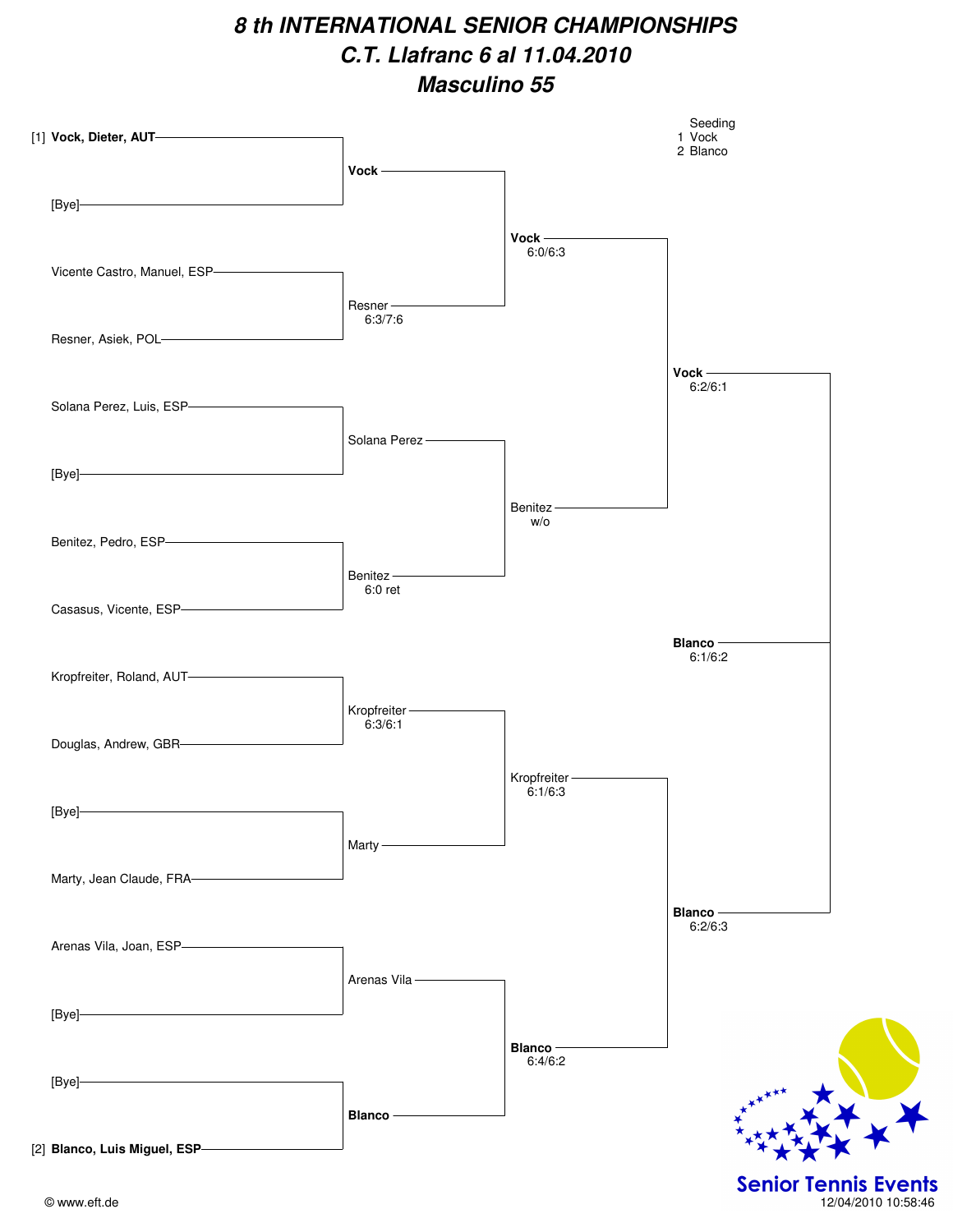

<sup>©</sup> www.eft.de 12/04/2010 10:58:46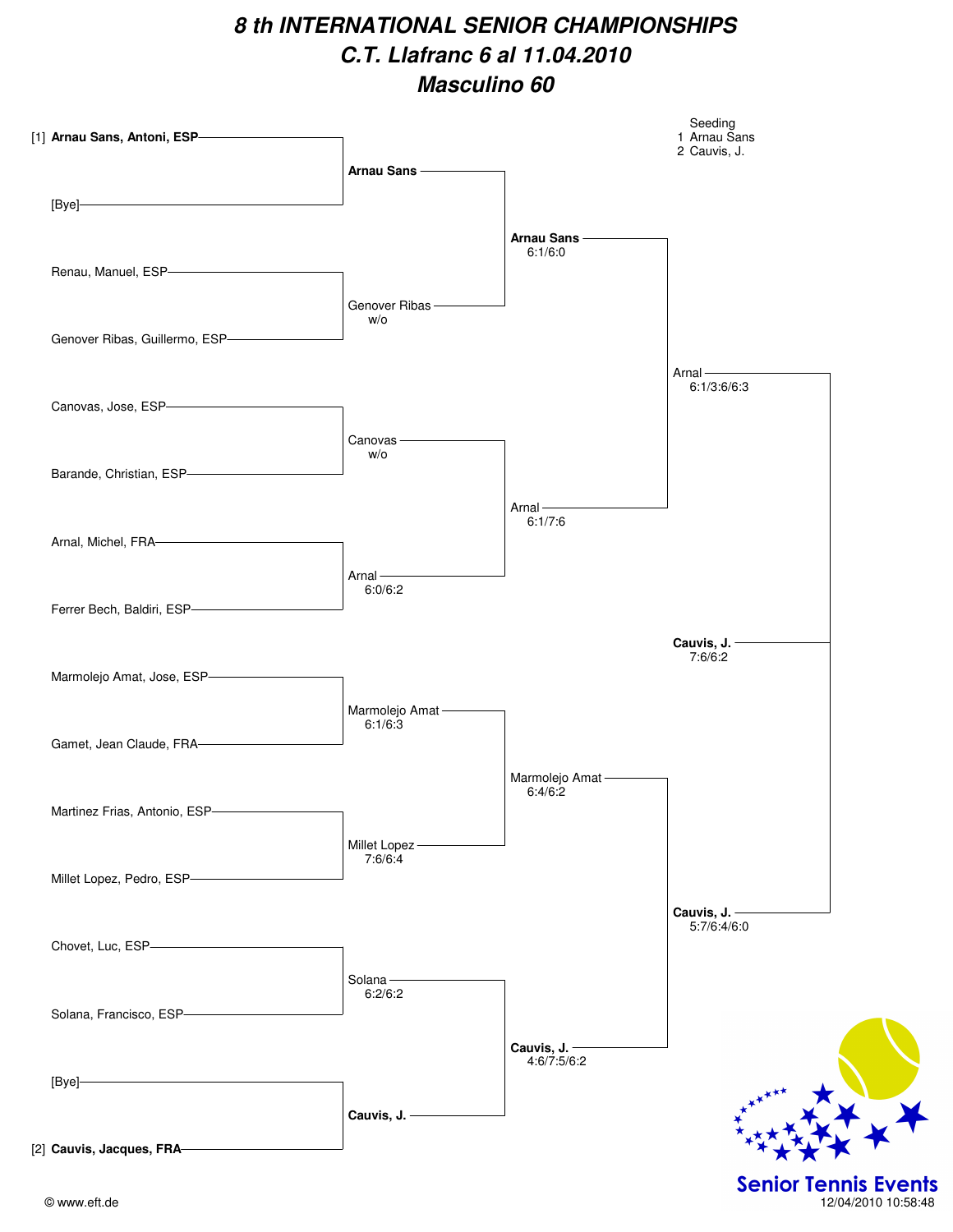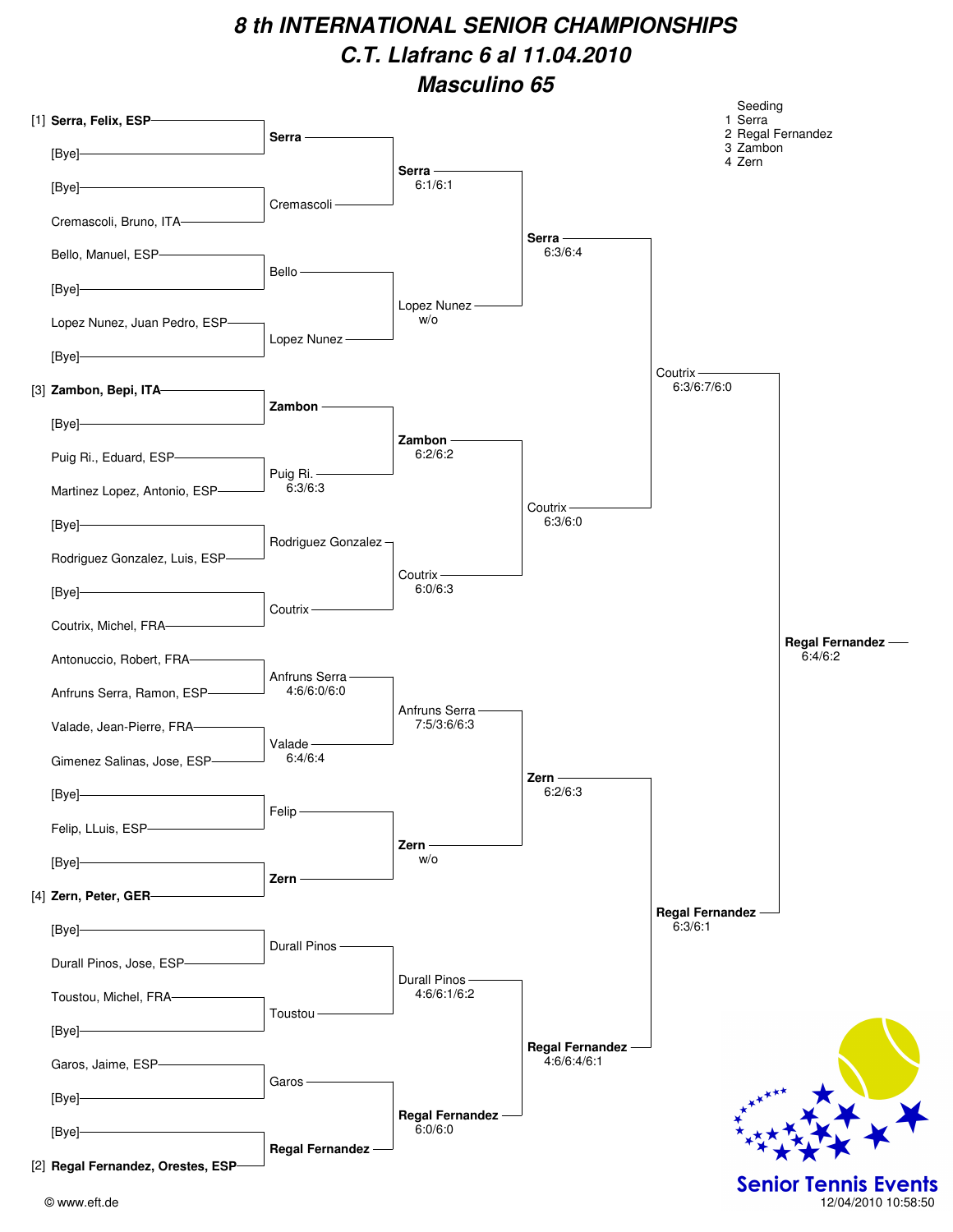| [1] Serra, Felix, ESP-             | Serra -                       |                                |                        | Seeding<br>1 Serra | 2 Regal Fernandez                                  |
|------------------------------------|-------------------------------|--------------------------------|------------------------|--------------------|----------------------------------------------------|
| [Bye]-                             |                               |                                |                        | 3 Zambon<br>4 Zern |                                                    |
| [Bye]-                             |                               | $Serra -$<br>6:1/6:1           |                        |                    |                                                    |
| Cremascoli, Bruno, ITA-            | Cremascoli -                  |                                |                        |                    |                                                    |
| Bello, Manuel, ESP-                |                               |                                | Serra-<br>6:3/6:4      |                    |                                                    |
|                                    | Bello-                        |                                |                        |                    |                                                    |
| [Bye]                              |                               | Lopez Nunez-                   |                        |                    |                                                    |
| Lopez Nunez, Juan Pedro, ESP-      | Lopez Nunez -                 | W/O                            |                        |                    |                                                    |
| [Bye]                              |                               |                                |                        | Coutrix $-$        |                                                    |
| [3] Zambon, Bepi, ITA-             | Zambon -                      |                                |                        | 6:3/6:7/6:0        |                                                    |
| [Bye]                              |                               |                                |                        |                    |                                                    |
| Puig Ri., Eduard, ESP-             |                               | Zambon -<br>6:2/6:2            |                        |                    |                                                    |
| Martinez Lopez, Antonio, ESP-      | Puig Ri. -<br>6:3/6:3         |                                |                        |                    |                                                    |
|                                    |                               |                                | Coutrix $-$<br>6:3/6:0 |                    |                                                    |
| [Bye]                              | Rodriguez Gonzalez-           |                                |                        |                    |                                                    |
| Rodriguez Gonzalez, Luis, ESP-     |                               | Coutrix-                       |                        |                    |                                                    |
| [Bye]-                             | Coutrix-                      | 6:0/6:3                        |                        |                    |                                                    |
| Coutrix, Michel, FRA-              |                               |                                |                        |                    | Regal Fernandez -                                  |
| Antonuccio, Robert, FRA-           |                               |                                |                        |                    | 6:4/6:2                                            |
| Anfruns Serra, Ramon, ESP-         | Anfruns Serra-<br>4:6/6:0/6:0 |                                |                        |                    |                                                    |
| Valade, Jean-Pierre, FRA-          |                               | Anfruns Serra -<br>7:5/3:6/6:3 |                        |                    |                                                    |
| Gimenez Salinas, Jose, ESP-        | Valade-<br>6:4/6:4            |                                |                        |                    |                                                    |
|                                    |                               |                                | $Zern -$<br>6:2/6:3    |                    |                                                    |
| [Bye]-                             | Felip                         |                                |                        |                    |                                                    |
| Felip, LLuis, ESP-                 |                               | Zern-                          |                        |                    |                                                    |
| [Bye]                              | Zern                          | W/O                            |                        |                    |                                                    |
| [4] Zern, Peter, GER-              |                               |                                |                        | Regal Fernandez -  |                                                    |
| [Bye]                              |                               |                                |                        | 6:3/6:1            |                                                    |
| Durall Pinos, Jose, ESP-           | Durall Pinos -                |                                |                        |                    |                                                    |
| Toustou, Michel, FRA-              |                               | Durall Pinos-<br>4:6/6:1/6:2   |                        |                    |                                                    |
|                                    | Toustou                       |                                |                        |                    |                                                    |
| [Bye]                              |                               |                                | Regal Fernandez -      |                    |                                                    |
| Garos, Jaime, ESP-                 | Garos -                       |                                | 4:6/6:4/6:1            |                    |                                                    |
| $[Bye]$ -                          |                               | Regal Fernandez -              |                        |                    |                                                    |
| [Bye]-                             | Regal Fernandez -             | 6:0/6:0                        |                        |                    |                                                    |
| [2] Regal Fernandez, Orestes, ESP- |                               |                                |                        |                    |                                                    |
| © www.eft.de                       |                               |                                |                        |                    | <b>Senior Tennis Events</b><br>12/04/2010 10:58:50 |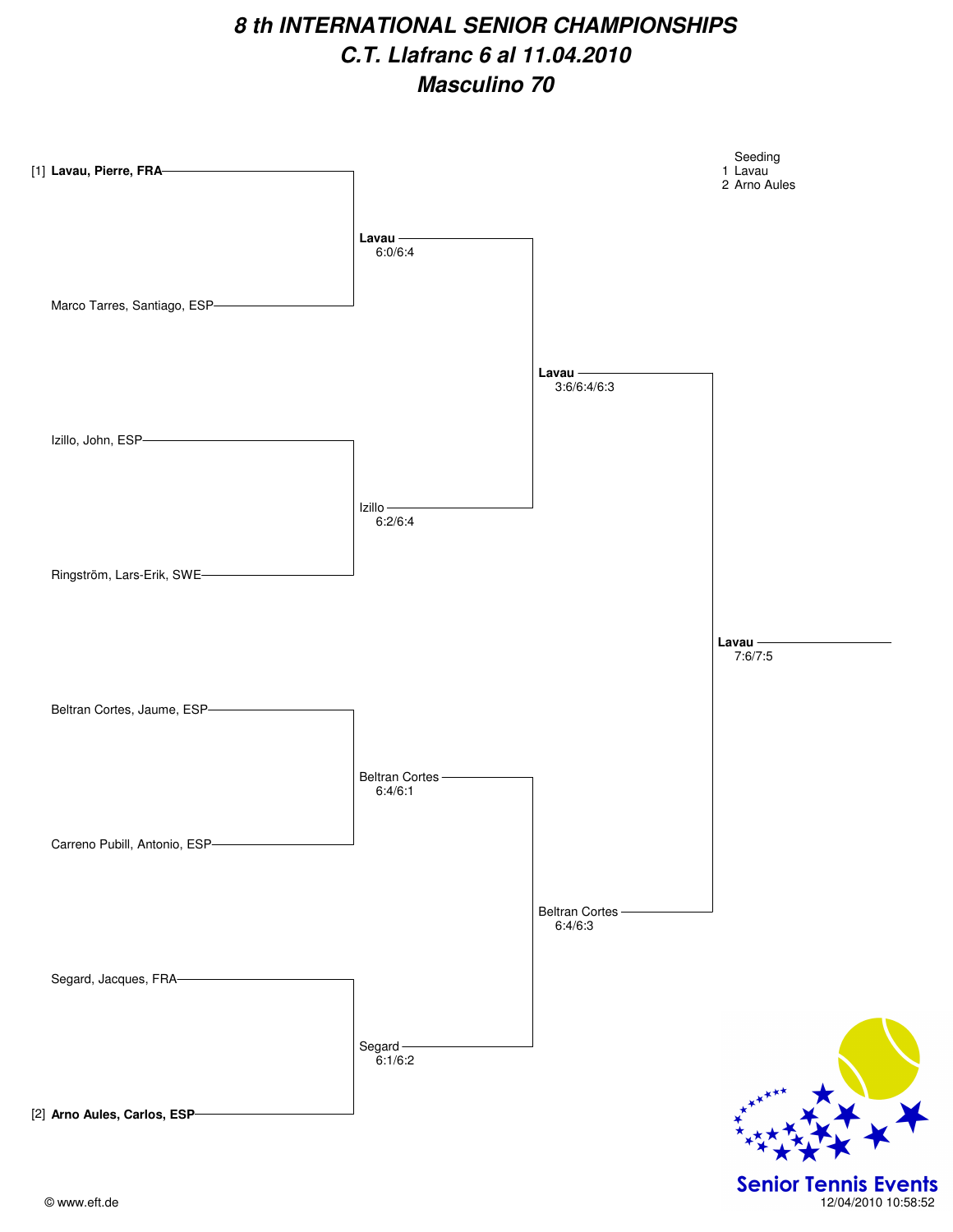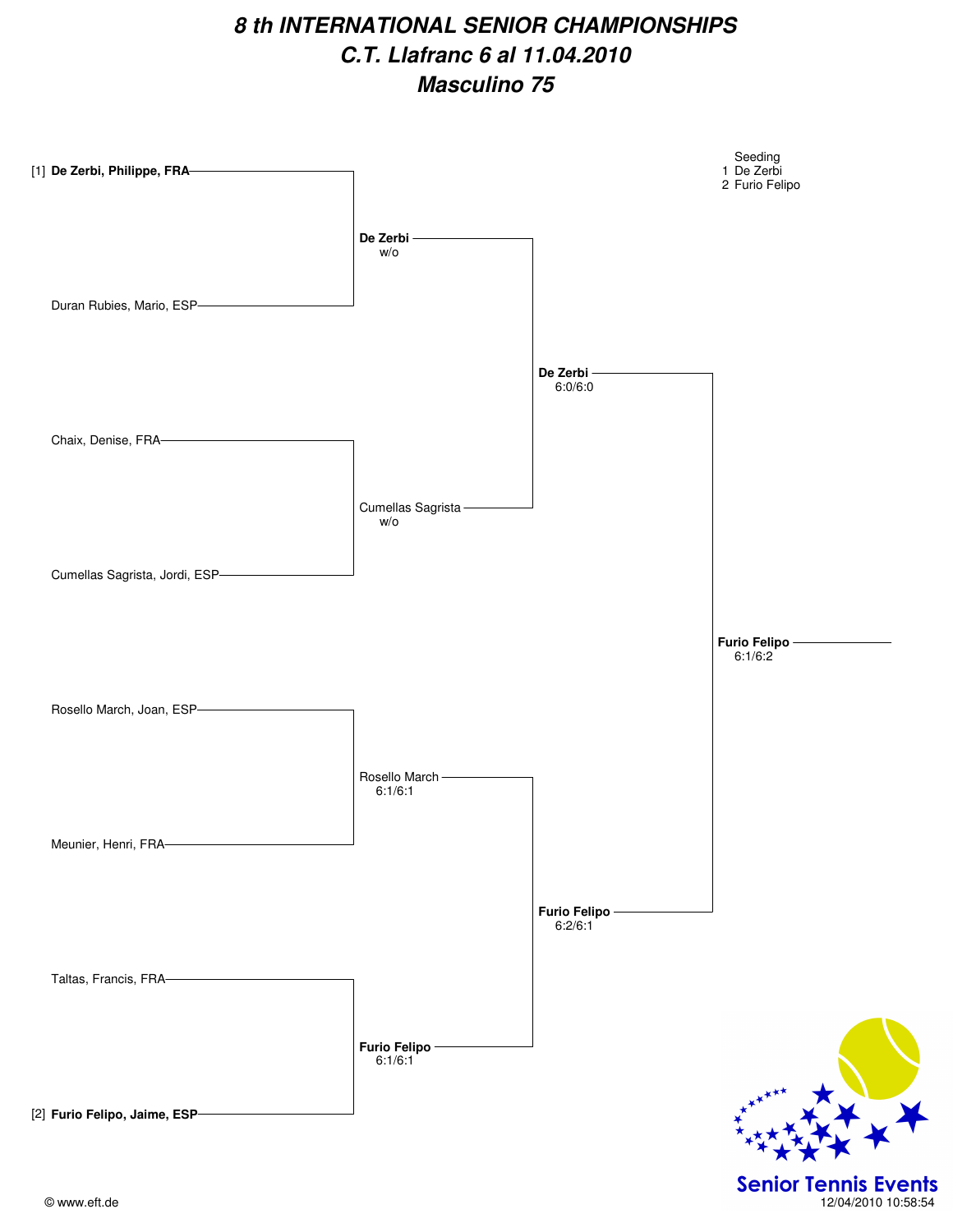